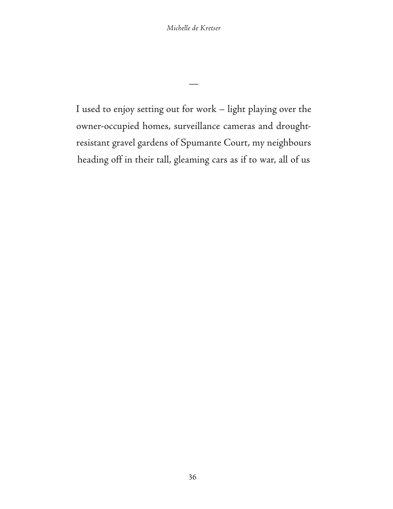*Michelle de Kretser*

I used to enjoy setting out for work – light playing over the owner-occupied homes, surveillance cameras and droughtresistant gravel gardens of Spumante Court, my neighbours heading off in their tall, gleaming cars as if to war, all of us

—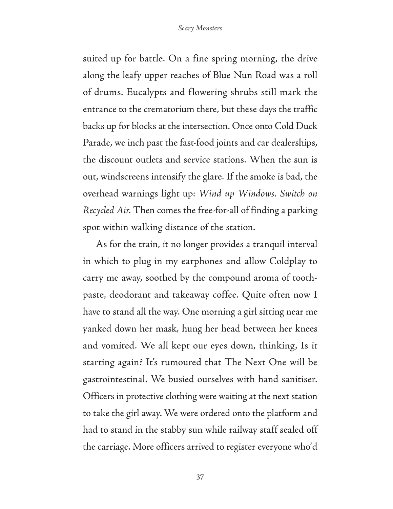suited up for battle. On a fine spring morning, the drive along the leafy upper reaches of Blue Nun Road was a roll of drums. Eucalypts and flowering shrubs still mark the entrance to the crematorium there, but these days the traffic backs up for blocks at the intersection. Once onto Cold Duck Parade, we inch past the fast-food joints and car dealerships, the discount outlets and service stations. When the sun is out, windscreens intensify the glare. If the smoke is bad, the overhead warnings light up: *Wind up Windows. Switch on Recycled Air.* Then comes the free-for-all of finding a parking spot within walking distance of the station.

As for the train, it no longer provides a tranquil interval in which to plug in my earphones and allow Coldplay to carry me away, soothed by the compound aroma of toothpaste, deodorant and takeaway coffee. Quite often now I have to stand all the way. One morning a girl sitting near me yanked down her mask, hung her head between her knees and vomited. We all kept our eyes down, thinking, Is it starting again? It's rumoured that The Next One will be gastrointestinal. We busied ourselves with hand sanitiser. Officers in protective clothing were waiting at the next station to take the girl away. We were ordered onto the platform and had to stand in the stabby sun while railway staff sealed off the carriage. More officers arrived to register everyone who'd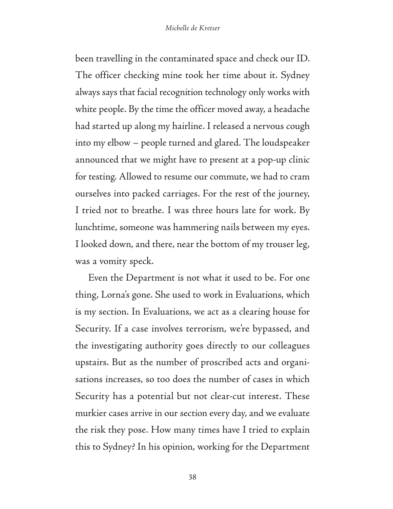been travelling in the contaminated space and check our ID. The officer checking mine took her time about it. Sydney always says that facial recognition technology only works with white people. By the time the officer moved away, a headache had started up along my hairline. I released a nervous cough into my elbow – people turned and glared. The loudspeaker announced that we might have to present at a pop-up clinic for testing. Allowed to resume our commute, we had to cram ourselves into packed carriages. For the rest of the journey, I tried not to breathe. I was three hours late for work. By lunchtime, someone was hammering nails between my eyes. I looked down, and there, near the bottom of my trouser leg, was a vomity speck.

Even the Department is not what it used to be. For one thing, Lorna's gone. She used to work in Evaluations, which is my section. In Evaluations, we act as a clearing house for Security. If a case involves terrorism, we're bypassed, and the investigating authority goes directly to our colleagues upstairs. But as the number of proscribed acts and organisations increases, so too does the number of cases in which Security has a potential but not clear-cut interest. These murkier cases arrive in our section every day, and we evaluate the risk they pose. How many times have I tried to explain this to Sydney? In his opinion, working for the Department